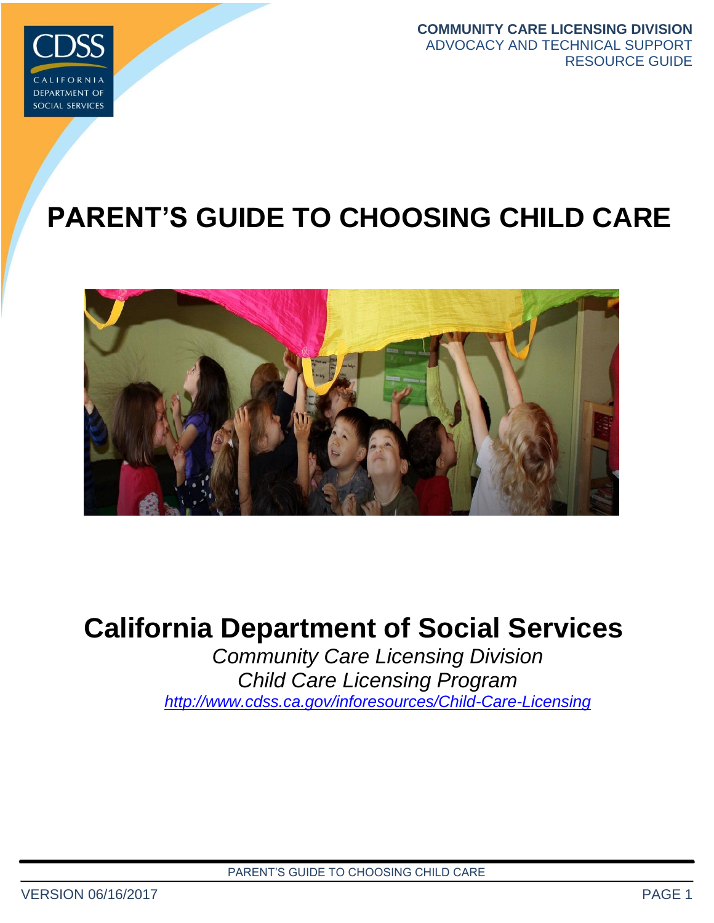

**COMMUNITY CARE LICENSING DIVISION** ADVOCACY AND TECHNICAL SUPPORT RESOURCE GUIDE

# **PARENT'S GUIDE TO CHOOSING CHILD CARE**



# **California Department of Social Services**

*Community Care Licensing Division Child Care Licensing Program <http://www.cdss.ca.gov/inforesources/Child-Care-Licensing>*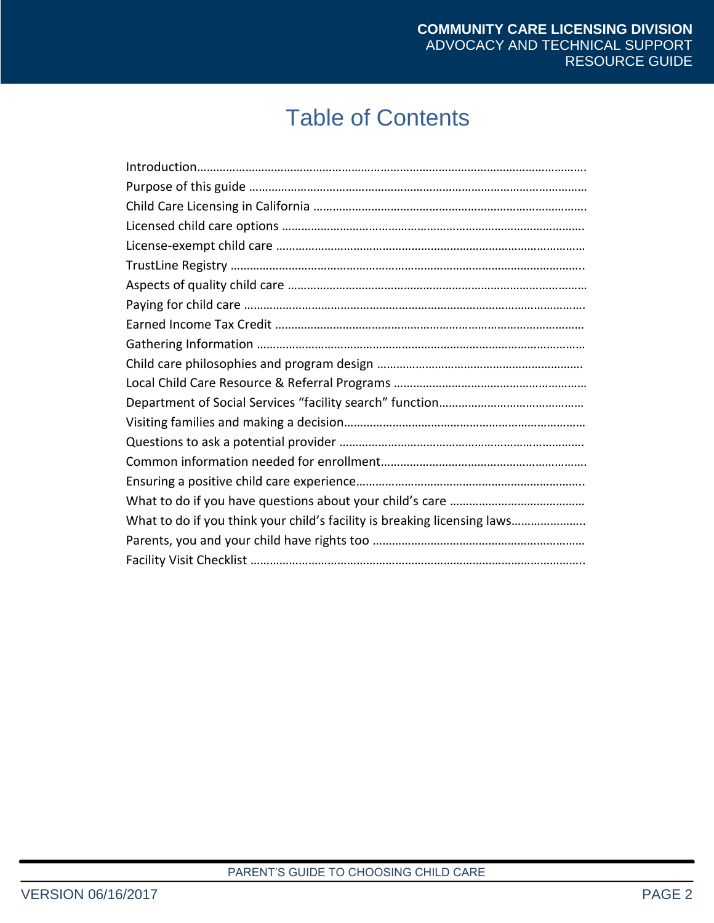## Table of Contents

| What to do if you think your child's facility is breaking licensing laws |
|--------------------------------------------------------------------------|
|                                                                          |
|                                                                          |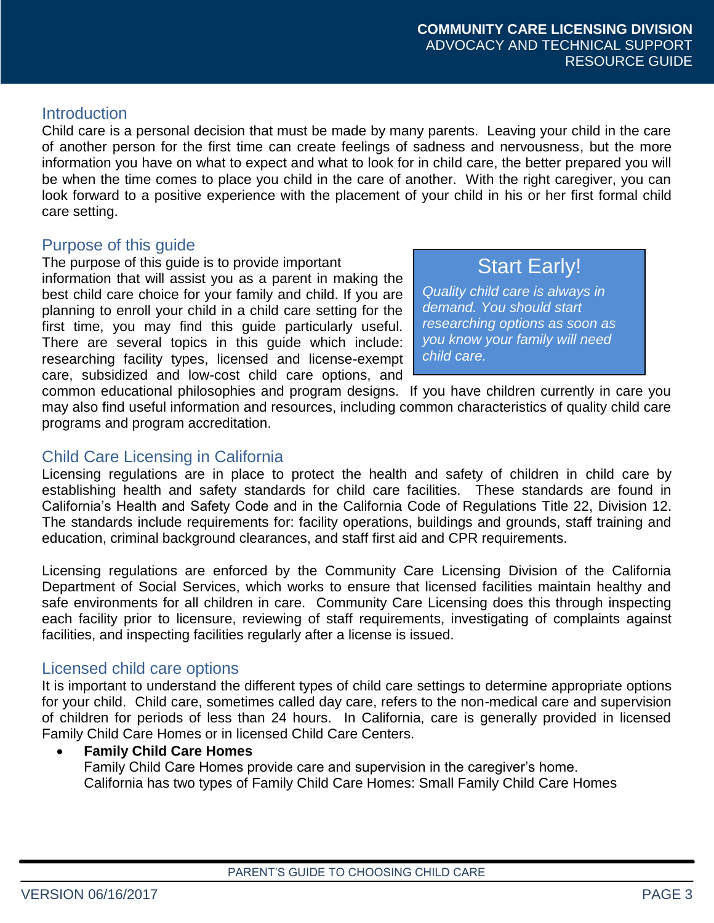#### **Introduction**

Child care is a personal decision that must be made by many parents. Leaving your child in the care of another person for the first time can create feelings of sadness and nervousness, but the more information you have on what to expect and what to look for in child care, the better prepared you will be when the time comes to place you child in the care of another. With the right caregiver, you can look forward to a positive experience with the placement of your child in his or her first formal child care setting.

#### Purpose of this guide

The purpose of this guide is to provide important

information that will assist you as a parent in making the best child care choice for your family and child. If you are planning to enroll your child in a child care setting for the first time, you may find this guide particularly useful. There are several topics in this guide which include: researching facility types, licensed and license-exempt care, subsidized and low-cost child care options, and

**Start Early!** *Quality child care is always in demand. You should start*

*researching options as soon as you know your family will need child care.*

common educational philosophies and program designs. If you have children currently in care you may also find useful information and resources, including common characteristics of quality child care programs and program accreditation.

#### Child Care Licensing in California

Licensing regulations are in place to protect the health and safety of children in child care by establishing health and safety standards for child care facilities. These standards are found in California's Health and Safety Code and in the California Code of Regulations Title 22, Division 12. The standards include requirements for: facility operations, buildings and grounds, staff training and education, criminal background clearances, and staff first aid and CPR requirements.

Licensing regulations are enforced by the Community Care Licensing Division of the California Department of Social Services, which works to ensure that licensed facilities maintain healthy and safe environments for all children in care. Community Care Licensing does this through inspecting each facility prior to licensure, reviewing of staff requirements, investigating of complaints against facilities, and inspecting facilities regularly after a license is issued.

#### Licensed child care options

It is important to understand the different types of child care settings to determine appropriate options for your child. Child care, sometimes called day care, refers to the non-medical care and supervision of children for periods of less than 24 hours. In California, care is generally provided in licensed Family Child Care Homes or in licensed Child Care Centers.

**Family Child Care Homes**

Family Child Care Homes provide care and supervision in the caregiver's home. California has two types of Family Child Care Homes: Small Family Child Care Homes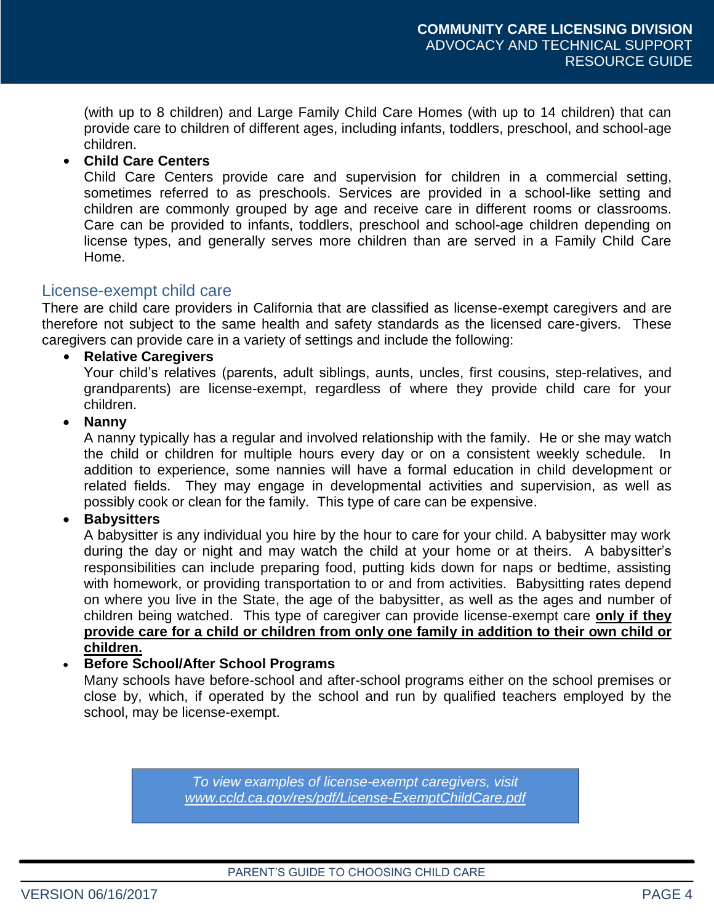(with up to 8 children) and Large Family Child Care Homes (with up to 14 children) that can provide care to children of different ages, including infants, toddlers, preschool, and school-age children.

#### **• Child Care Centers**

Child Care Centers provide care and supervision for children in a commercial setting, sometimes referred to as preschools. Services are provided in a school-like setting and children are commonly grouped by age and receive care in different rooms or classrooms. Care can be provided to infants, toddlers, preschool and school-age children depending on license types, and generally serves more children than are served in a Family Child Care Home.

#### License-exempt child care

There are child care providers in California that are classified as license-exempt caregivers and are therefore not subject to the same health and safety standards as the licensed care-givers. These caregivers can provide care in a variety of settings and include the following:

#### **• Relative Caregivers**

Your child's relatives (parents, adult siblings, aunts, uncles, first cousins, step-relatives, and grandparents) are license-exempt, regardless of where they provide child care for your children.

#### **Nanny**

A nanny typically has a regular and involved relationship with the family. He or she may watch the child or children for multiple hours every day or on a consistent weekly schedule. In addition to experience, some nannies will have a formal education in child development or related fields. They may engage in developmental activities and supervision, as well as possibly cook or clean for the family. This type of care can be expensive.

#### **Babysitters**

A babysitter is any individual you hire by the hour to care for your child. A babysitter may work during the day or night and may watch the child at your home or at theirs. A babysitter's responsibilities can include preparing food, putting kids down for naps or bedtime, assisting with homework, or providing transportation to or and from activities. Babysitting rates depend on where you live in the State, the age of the babysitter, as well as the ages and number of children being watched. This type of caregiver can provide license-exempt care **only if they provide care for a child or children from only one family in addition to their own child or children.**

#### **Before School/After School Programs**

Many schools have before-school and after-school programs either on the school premises or close by, which, if operated by the school and run by qualified teachers employed by the school, may be license-exempt.

> *To view examples of license-exempt caregivers, visit [www.ccld.ca.gov/res/pdf/License-ExemptChildCare.pdf](http://www.ccld.ca.gov/res/pdf/License-ExemptChildCare.pdf)*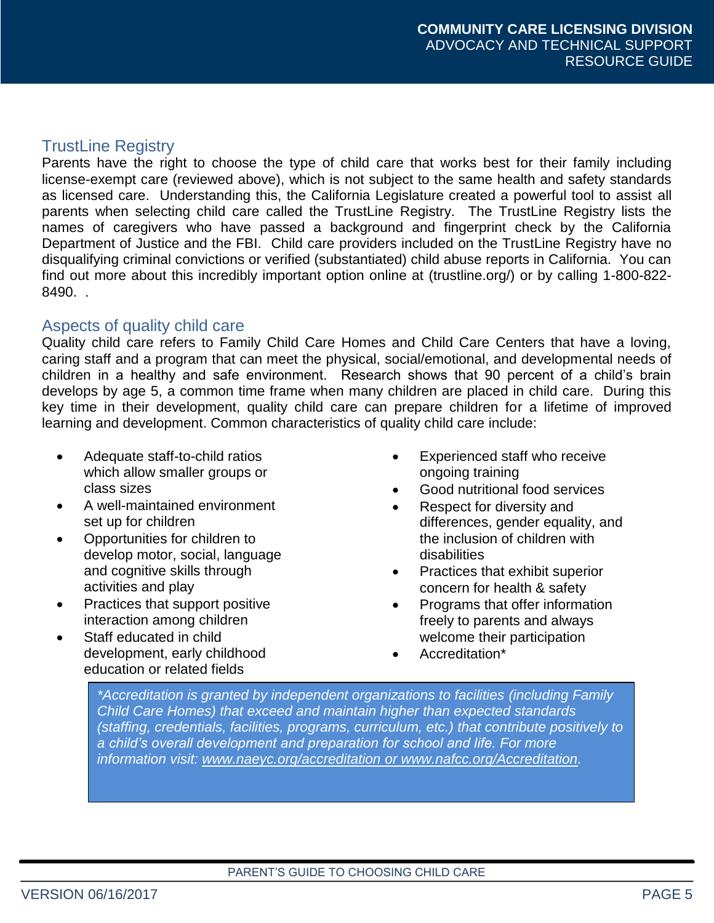#### TrustLine Registry

Parents have the right to choose the type of child care that works best for their family including license-exempt care (reviewed above), which is not subject to the same health and safety standards as licensed care. Understanding this, the California Legislature created a powerful tool to assist all parents when selecting child care called the TrustLine Registry. The TrustLine Registry lists the names of caregivers who have passed a background and fingerprint check by the California Department of Justice and the FBI. Child care providers included on the TrustLine Registry have no disqualifying criminal convictions or verified (substantiated) child abuse reports in California. You can find out more about this incredibly important option online at (trustline.org/) or by calling 1-800-822- 8490. .

#### Aspects of quality child care

Quality child care refers to Family Child Care Homes and Child Care Centers that have a loving, caring staff and a program that can meet the physical, social/emotional, and developmental needs of children in a healthy and safe environment. Research shows that 90 percent of a child's brain develops by age 5, a common time frame when many children are placed in child care. During this key time in their development, quality child care can prepare children for a lifetime of improved learning and development. Common characteristics of quality child care include:

- Adequate staff-to-child ratios which allow smaller groups or class sizes
- A well-maintained environment set up for children
- Opportunities for children to develop motor, social, language and cognitive skills through activities and play
- Practices that support positive interaction among children
- Staff educated in child development, early childhood education or related fields
- Experienced staff who receive ongoing training
- Good nutritional food services
- Respect for diversity and differences, gender equality, and the inclusion of children with disabilities
- Practices that exhibit superior concern for health & safety
- Programs that offer information freely to parents and always welcome their participation
- Accreditation\*

*\*Accreditation is granted by independent organizations to facilities (including Family Child Care Homes) that exceed and maintain higher than expected standards (staffing, credentials, facilities, programs, curriculum, etc.) that contribute positively to a child's overall development and preparation for school and life. For more information visit: [www.naeyc.org/accreditation](http://www.naeyc.org/accreditation) or [www.nafcc.org/Accreditation.](http://www.nafcc.org/Accreditation)*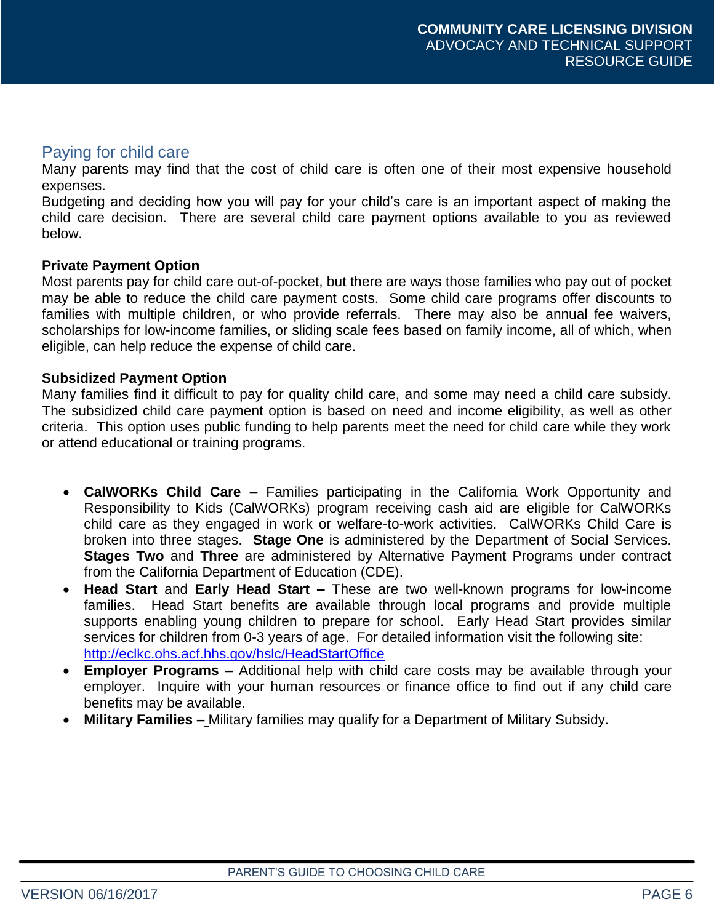#### Paying for child care

Many parents may find that the cost of child care is often one of their most expensive household expenses.

Budgeting and deciding how you will pay for your child's care is an important aspect of making the child care decision. There are several child care payment options available to you as reviewed below.

#### **Private Payment Option**

Most parents pay for child care out-of-pocket, but there are ways those families who pay out of pocket may be able to reduce the child care payment costs. Some child care programs offer discounts to families with multiple children, or who provide referrals. There may also be annual fee waivers, scholarships for low-income families, or sliding scale fees based on family income, all of which, when eligible, can help reduce the expense of child care.

#### **Subsidized Payment Option**

Many families find it difficult to pay for quality child care, and some may need a child care subsidy. The subsidized child care payment option is based on need and income eligibility, as well as other criteria. This option uses public funding to help parents meet the need for child care while they work or attend educational or training programs.

- **CalWORKs Child Care –** Families participating in the California Work Opportunity and Responsibility to Kids (CalWORKs) program receiving cash aid are eligible for CalWORKs child care as they engaged in work or welfare-to-work activities. CalWORKs Child Care is broken into three stages. **Stage One** is administered by the Department of Social Services. **Stages Two** and **Three** are administered by Alternative Payment Programs under contract from the California Department of Education (CDE).
- **Head Start** and **Early Head Start –** These are two well-known programs for low-income families. Head Start benefits are available through local programs and provide multiple supports enabling young children to prepare for school. Early Head Start provides similar services for children from 0-3 years of age. For detailed information visit the following site: <http://eclkc.ohs.acf.hhs.gov/hslc/HeadStartOffice>
- **Employer Programs –** Additional help with child care costs may be available through your employer. Inquire with your human resources or finance office to find out if any child care benefits may be available.
- **Military Families –** Military families may qualify for a Department of Military Subsidy.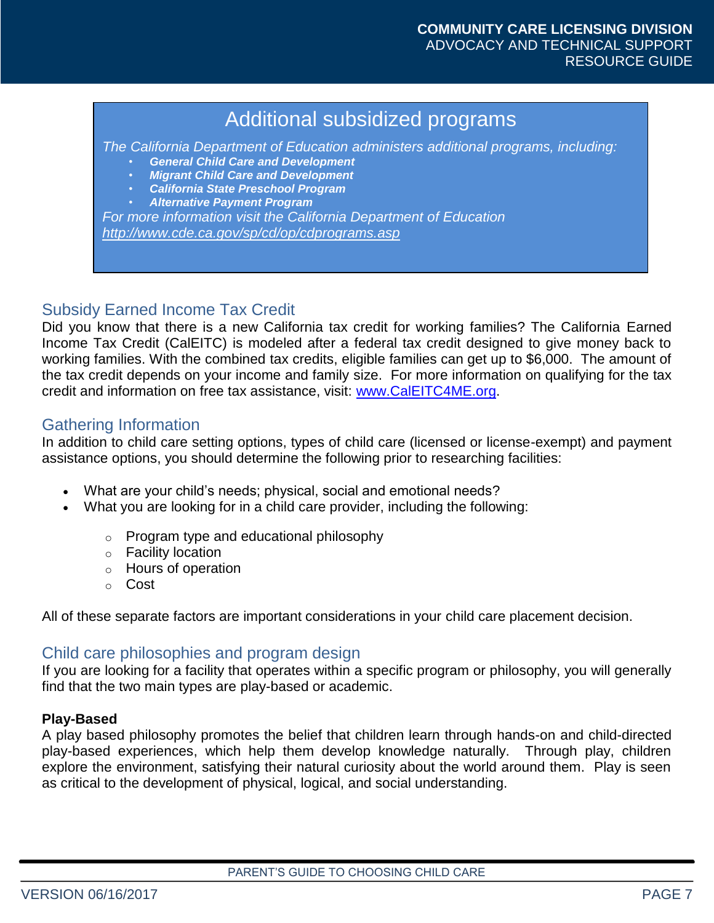### Additional subsidized programs

*The California Department of Education administers additional programs, including:*

- *General Child Care and Development*
- *Migrant Child Care and Development*
- *California State Preschool Program*
- *Alternative Payment Program*

*For more information visit the California Department of Education <http://www.cde.ca.gov/sp/cd/op/cdprograms.asp>*

#### Subsidy Earned Income Tax Credit

Did you know that there is a new California tax credit for working families? The California Earned Income Tax Credit (CalEITC) is modeled after a federal tax credit designed to give money back to working families. With the combined tax credits, eligible families can get up to \$6,000. The amount of the tax credit depends on your income and family size. For more information on qualifying for the tax credit and information on free tax assistance, visit: [www.CalEITC4ME.org.](http://www.caleitc4me.org/)

#### Gathering Information

In addition to child care setting options, types of child care (licensed or license-exempt) and payment assistance options, you should determine the following prior to researching facilities:

- What are your child's needs; physical, social and emotional needs?
- What you are looking for in a child care provider, including the following:
	- o Program type and educational philosophy
	- o Facility location
	- o Hours of operation
	- o Cost

All of these separate factors are important considerations in your child care placement decision.

#### Child care philosophies and program design

If you are looking for a facility that operates within a specific program or philosophy, you will generally find that the two main types are play-based or academic.

#### **Play-Based**

A play based philosophy promotes the belief that children learn through hands-on and child-directed play-based experiences, which help them develop knowledge naturally. Through play, children explore the environment, satisfying their natural curiosity about the world around them. Play is seen as critical to the development of physical, logical, and social understanding.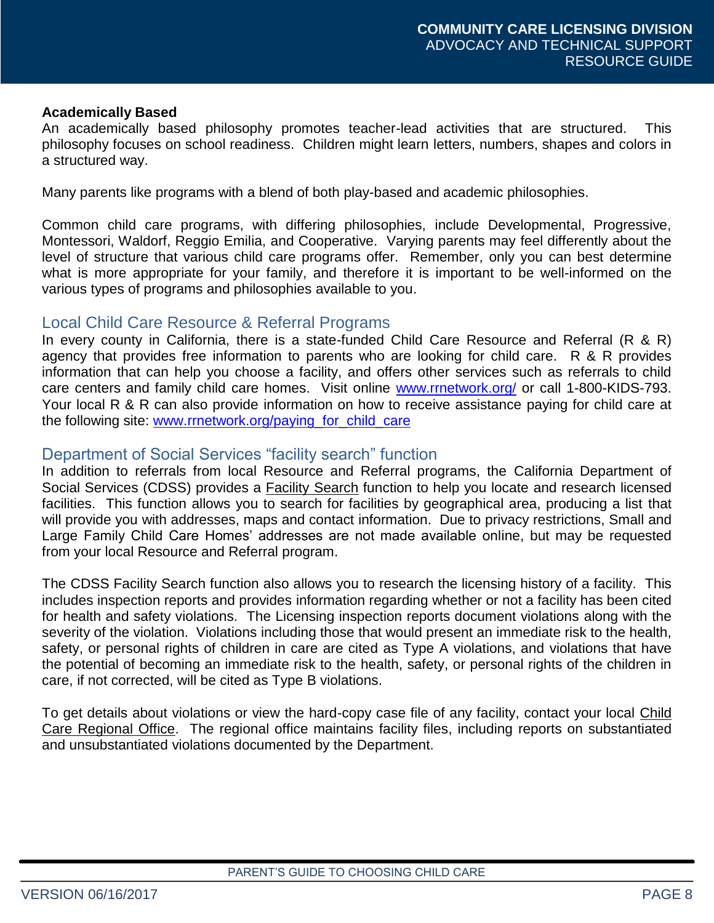#### **Academically Based**

An academically based philosophy promotes teacher-lead activities that are structured. This philosophy focuses on school readiness. Children might learn letters, numbers, shapes and colors in a structured way.

Many parents like programs with a blend of both play-based and academic philosophies.

Common child care programs, with differing philosophies, include Developmental, Progressive, Montessori, Waldorf, Reggio Emilia, and Cooperative. Varying parents may feel differently about the level of structure that various child care programs offer. Remember, only you can best determine what is more appropriate for your family, and therefore it is important to be well-informed on the various types of programs and philosophies available to you.

#### Local Child Care Resource & Referral Programs

In every county in California, there is a state-funded Child Care Resource and Referral (R & R) agency that provides free information to parents who are looking for child care. R & R provides information that can help you choose a facility, and offers other services such as referrals to child care centers and family child care homes. Visit online [www.rrnetwork.org/](http://www.rrnetwork.org/) or call 1-800-KIDS-793. Your local R & R can also provide information on how to receive assistance paying for child care at the following site: [www.rrnetwork.org/paying\\_for\\_child\\_care](http://www.rrnetwork.org/paying_for_child_care)

#### Department of Social Services "facility search" function

In addition to referrals from local Resource and Referral programs, the California Department of Social Services (CDSS) provides a Facility Search function to help you locate and research licensed facilities. This function allows you to search for facilities by geographical area, producing a list that will provide you with addresses, maps and contact information. Due to privacy restrictions, Small and Large Family Child Care Homes' addresses are not made available online, but may be requested from your local Resource and Referral program.

The CDSS Facility Search function also allows you to research the licensing history of a facility. This includes inspection reports and provides information regarding whether or not a facility has been cited for health and safety violations. The Licensing inspection reports document violations along with the severity of the violation. Violations including those that would present an immediate risk to the health, safety, or personal rights of children in care are cited as Type A violations, and violations that have the potential of becoming an immediate risk to the health, safety, or personal rights of the children in care, if not corrected, will be cited as Type B violations.

To get details about violations or view the hard-copy case file of any facility, contact your local Child Care Regional Office. The regional office maintains facility files, including reports on substantiated and unsubstantiated violations documented by the Department.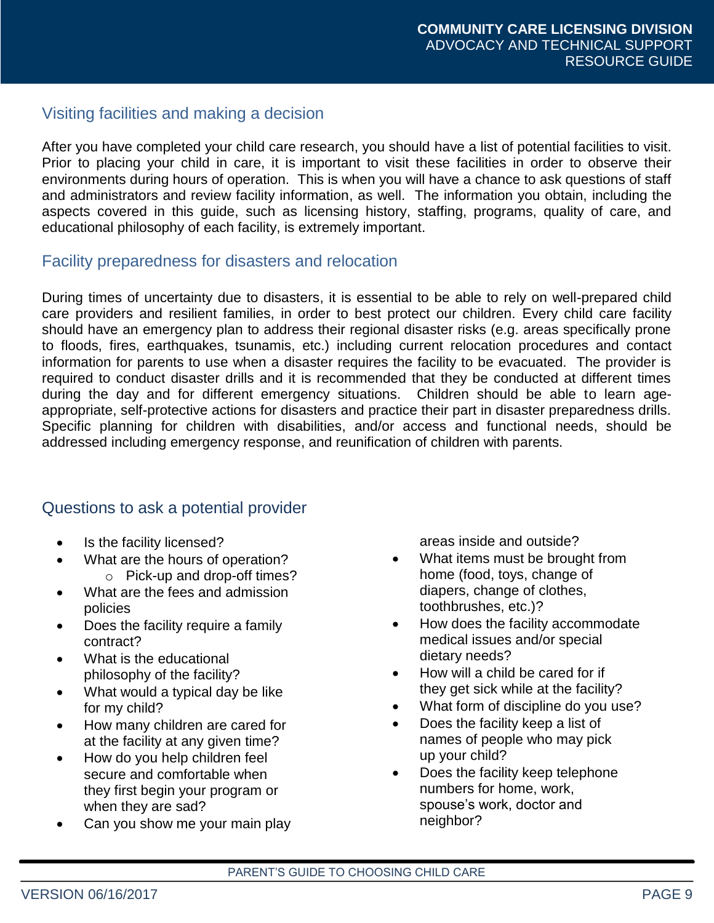#### Visiting facilities and making a decision

After you have completed your child care research, you should have a list of potential facilities to visit. Prior to placing your child in care, it is important to visit these facilities in order to observe their environments during hours of operation. This is when you will have a chance to ask questions of staff and administrators and review facility information, as well. The information you obtain, including the aspects covered in this guide, such as licensing history, staffing, programs, quality of care, and educational philosophy of each facility, is extremely important.

#### Facility preparedness for disasters and relocation

During times of uncertainty due to disasters, it is essential to be able to rely on well-prepared child care providers and resilient families, in order to best protect our children. Every child care facility should have an emergency plan to address their regional disaster risks (e.g. areas specifically prone to floods, fires, earthquakes, tsunamis, etc.) including current relocation procedures and contact information for parents to use when a disaster requires the facility to be evacuated. The provider is required to conduct disaster drills and it is recommended that they be conducted at different times during the day and for different emergency situations. Children should be able to learn ageappropriate, self-protective actions for disasters and practice their part in disaster preparedness drills. Specific planning for children with disabilities, and/or access and functional needs, should be addressed including emergency response, and reunification of children with parents.

#### Questions to ask a potential provider

- Is the facility licensed?
- What are the hours of operation? o Pick-up and drop-off times?
- What are the fees and admission policies
- Does the facility require a family contract?
- What is the educational philosophy of the facility?
- What would a typical day be like for my child?
- How many children are cared for at the facility at any given time?
- How do you help children feel secure and comfortable when they first begin your program or when they are sad?
- Can you show me your main play

areas inside and outside?

- What items must be brought from home (food, toys, change of diapers, change of clothes, toothbrushes, etc.)?
- How does the facility accommodate medical issues and/or special dietary needs?
- How will a child be cared for if they get sick while at the facility?
- What form of discipline do you use?
- Does the facility keep a list of names of people who may pick up your child?
- Does the facility keep telephone numbers for home, work, spouse's work, doctor and neighbor?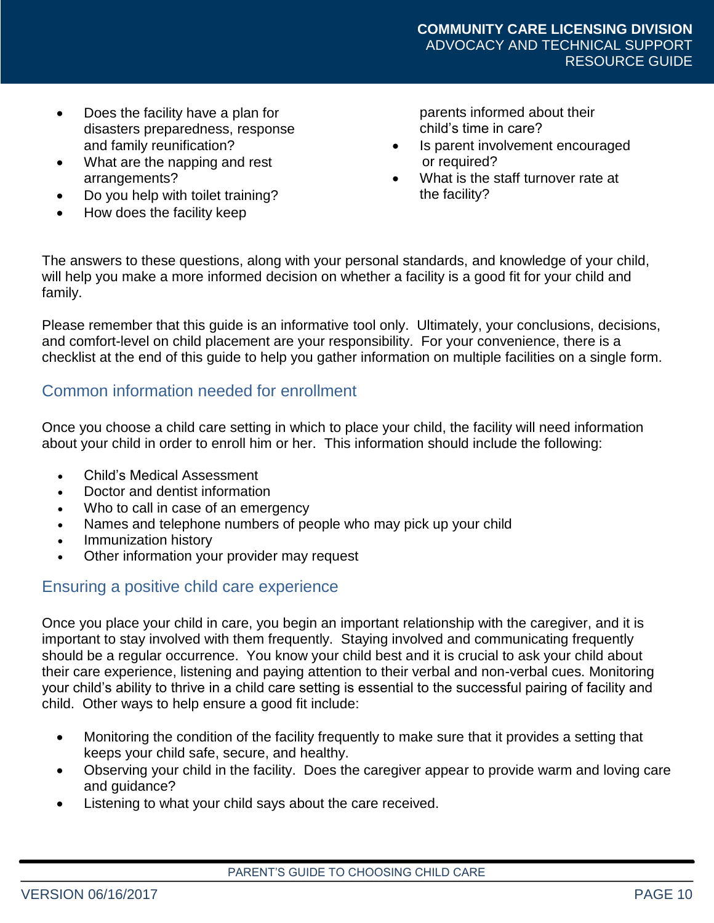- Does the facility have a plan for disasters preparedness, response and family reunification?
- What are the napping and rest arrangements?
- Do you help with toilet training?
- How does the facility keep

parents informed about their child's time in care?

- Is parent involvement encouraged or required?
- What is the staff turnover rate at the facility?

The answers to these questions, along with your personal standards, and knowledge of your child, will help you make a more informed decision on whether a facility is a good fit for your child and family.

Please remember that this guide is an informative tool only. Ultimately, your conclusions, decisions, and comfort-level on child placement are your responsibility. For your convenience, there is a checklist at the end of this guide to help you gather information on multiple facilities on a single form.

#### Common information needed for enrollment

Once you choose a child care setting in which to place your child, the facility will need information about your child in order to enroll him or her. This information should include the following:

- Child's Medical Assessment
- Doctor and dentist information
- Who to call in case of an emergency
- Names and telephone numbers of people who may pick up your child
- Immunization history
- Other information your provider may request

#### Ensuring a positive child care experience

Once you place your child in care, you begin an important relationship with the caregiver, and it is important to stay involved with them frequently. Staying involved and communicating frequently should be a regular occurrence. You know your child best and it is crucial to ask your child about their care experience, listening and paying attention to their verbal and non-verbal cues. Monitoring your child's ability to thrive in a child care setting is essential to the successful pairing of facility and child. Other ways to help ensure a good fit include:

- Monitoring the condition of the facility frequently to make sure that it provides a setting that keeps your child safe, secure, and healthy.
- Observing your child in the facility. Does the caregiver appear to provide warm and loving care and guidance?
- Listening to what your child says about the care received.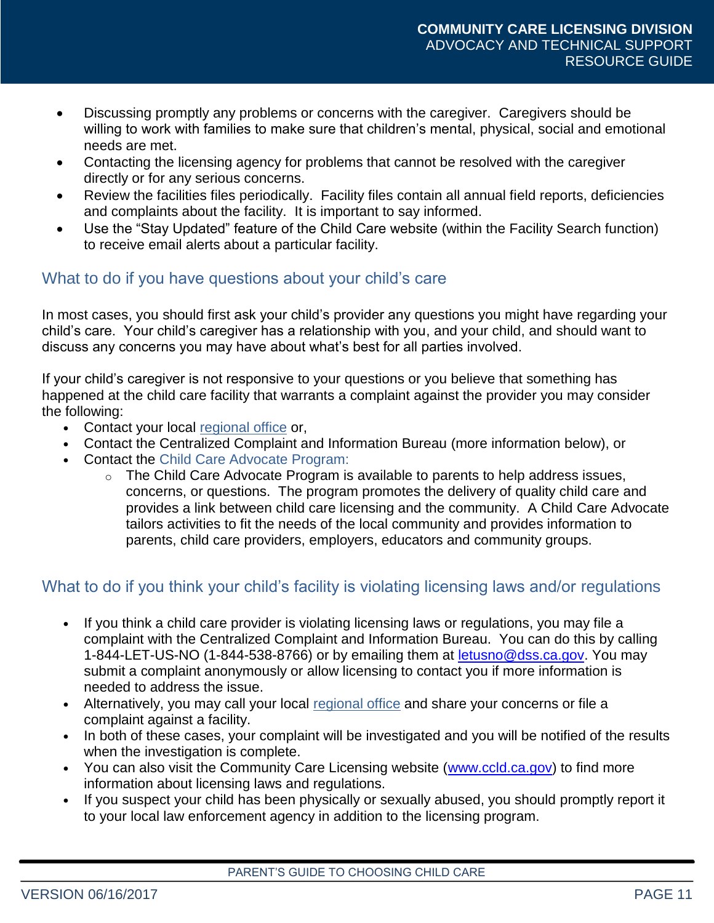- Discussing promptly any problems or concerns with the caregiver. Caregivers should be willing to work with families to make sure that children's mental, physical, social and emotional needs are met.
- Contacting the licensing agency for problems that cannot be resolved with the caregiver directly or for any serious concerns.
- Review the facilities files periodically. Facility files contain all annual field reports, deficiencies and complaints about the facility. It is important to say informed.
- Use the "Stay Updated" feature of the Child Care website (within the Facility Search function) to receive email alerts about a particular facility.

#### What to do if you have questions about your child's care

In most cases, you should first ask your child's provider any questions you might have regarding your child's care. Your child's caregiver has a relationship with you, and your child, and should want to discuss any concerns you may have about what's best for all parties involved.

If your child's caregiver is not responsive to your questions or you believe that something has happened at the child care facility that warrants a complaint against the provider you may consider the following:

- **•** Contact your local regional office or,
- **•** Contact the Centralized Complaint and Information Bureau (more information below), or
- **•** Contact the Child Care Advocate Program:
	- $\circ$  The Child Care Advocate Program is available to parents to help address issues, concerns, or questions. The program promotes the delivery of quality child care and provides a link between child care licensing and the community. A Child Care Advocate tailors activities to fit the needs of the local community and provides information to parents, child care providers, employers, educators and community groups.

#### What to do if you think your child's facility is violating licensing laws and/or regulations

- **•** If you think a child care provider is violating licensing laws or regulations, you may file a complaint with the Centralized Complaint and Information Bureau. You can do this by calling 1-844-LET-US-NO (1-844-538-8766) or by emailing them at [letusno@dss.ca.gov.](mailto:letusno@dss.ca.gov) You may submit a complaint anonymously or allow licensing to contact you if more information is needed to address the issue.
- **•** Alternatively, you may call your local regional office and share your concerns or file a complaint against a facility.
- **•** In both of these cases, your complaint will be investigated and you will be notified of the results when the investigation is complete.
- You can also visit the Community Care Licensing website [\(www.ccld.ca.gov\)](http://www.ccld.ca.gov/) to find more information about licensing laws and regulations.
- **•** If you suspect your child has been physically or sexually abused, you should promptly report it to your local law enforcement agency in addition to the licensing program.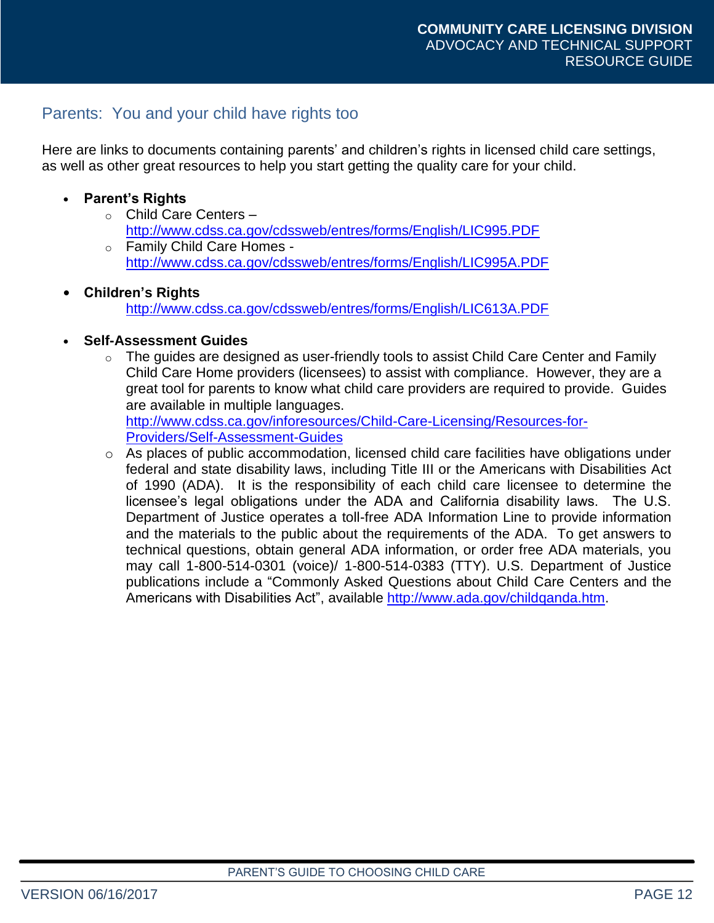#### Parents: You and your child have rights too

Here are links to documents containing parents' and children's rights in licensed child care settings, as well as other great resources to help you start getting the quality care for your child.

#### **• Parent's Rights**

- o Child Care Centers <http://www.cdss.ca.gov/cdssweb/entres/forms/English/LIC995.PDF>
- o Family Child Care Homes <http://www.cdss.ca.gov/cdssweb/entres/forms/English/LIC995A.PDF>

#### **• Children's Rights**

<http://www.cdss.ca.gov/cdssweb/entres/forms/English/LIC613A.PDF>

#### **• Self-Assessment Guides**

- $\circ$  The guides are designed as user-friendly tools to assist Child Care Center and Family Child Care Home providers (licensees) to assist with compliance. However, they are a great tool for parents to know what child care providers are required to provide. Guides are available in multiple languages. [http://www.cdss.ca.gov/inforesources/Child-Care-Licensing/Resources-for-](http://www.cdss.ca.gov/inforesources/Child-Care-Licensing/Resources-for-Providers/Self-Assessment-Guides)[Providers/Self-Assessment-Guides](http://www.cdss.ca.gov/inforesources/Child-Care-Licensing/Resources-for-Providers/Self-Assessment-Guides)
- o As places of public accommodation, licensed child care facilities have obligations under federal and state disability laws, including Title III or the Americans with Disabilities Act of 1990 (ADA). It is the responsibility of each child care licensee to determine the licensee's legal obligations under the ADA and California disability laws. The U.S. Department of Justice operates a toll-free ADA Information Line to provide information and the materials to the public about the requirements of the ADA. To get answers to technical questions, obtain general ADA information, or order free ADA materials, you may call 1-800-514-0301 (voice)/ 1-800-514-0383 (TTY). U.S. Department of Justice publications include a "Commonly Asked Questions about Child Care Centers and the Americans with Disabilities Act", available [http://www.ada.gov/childqanda.htm.](http://www.ada.gov/childqanda.htm)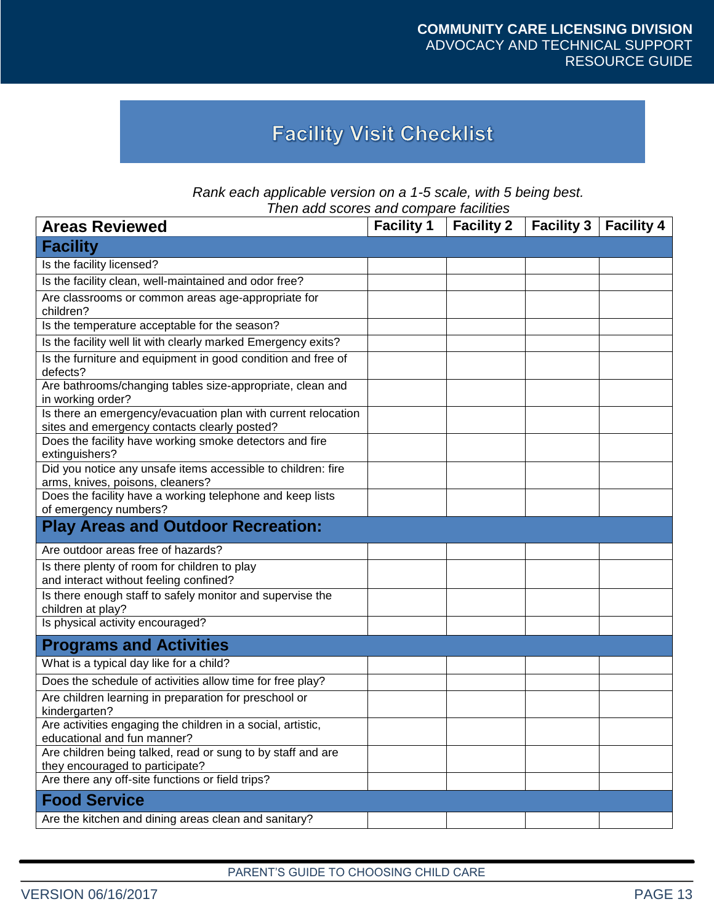### **Facility Visit Checklist**

| Rank each applicable version on a 1-5 scale, with 5 being best. |
|-----------------------------------------------------------------|
| Then add scores and compare facilities                          |

| <u>Hell auu scores and compare facilities</u><br><b>Areas Reviewed</b>                                        | <b>Facility 1</b> | <b>Facility 2</b> | <b>Facility 3</b> | <b>Facility 4</b> |
|---------------------------------------------------------------------------------------------------------------|-------------------|-------------------|-------------------|-------------------|
| <b>Facility</b>                                                                                               |                   |                   |                   |                   |
| Is the facility licensed?                                                                                     |                   |                   |                   |                   |
| Is the facility clean, well-maintained and odor free?                                                         |                   |                   |                   |                   |
| Are classrooms or common areas age-appropriate for<br>children?                                               |                   |                   |                   |                   |
| Is the temperature acceptable for the season?                                                                 |                   |                   |                   |                   |
| Is the facility well lit with clearly marked Emergency exits?                                                 |                   |                   |                   |                   |
| Is the furniture and equipment in good condition and free of<br>defects?                                      |                   |                   |                   |                   |
| Are bathrooms/changing tables size-appropriate, clean and<br>in working order?                                |                   |                   |                   |                   |
| Is there an emergency/evacuation plan with current relocation<br>sites and emergency contacts clearly posted? |                   |                   |                   |                   |
| Does the facility have working smoke detectors and fire<br>extinguishers?                                     |                   |                   |                   |                   |
| Did you notice any unsafe items accessible to children: fire<br>arms, knives, poisons, cleaners?              |                   |                   |                   |                   |
| Does the facility have a working telephone and keep lists                                                     |                   |                   |                   |                   |
| of emergency numbers?                                                                                         |                   |                   |                   |                   |
| <b>Play Areas and Outdoor Recreation:</b>                                                                     |                   |                   |                   |                   |
| Are outdoor areas free of hazards?                                                                            |                   |                   |                   |                   |
| Is there plenty of room for children to play<br>and interact without feeling confined?                        |                   |                   |                   |                   |
| Is there enough staff to safely monitor and supervise the<br>children at play?                                |                   |                   |                   |                   |
| Is physical activity encouraged?                                                                              |                   |                   |                   |                   |
| <b>Programs and Activities</b>                                                                                |                   |                   |                   |                   |
| What is a typical day like for a child?                                                                       |                   |                   |                   |                   |
| Does the schedule of activities allow time for free play?                                                     |                   |                   |                   |                   |
| Are children learning in preparation for preschool or<br>kindergarten?                                        |                   |                   |                   |                   |
| Are activities engaging the children in a social, artistic,<br>educational and fun manner?                    |                   |                   |                   |                   |
| Are children being talked, read or sung to by staff and are<br>they encouraged to participate?                |                   |                   |                   |                   |
| Are there any off-site functions or field trips?                                                              |                   |                   |                   |                   |
| <b>Food Service</b>                                                                                           |                   |                   |                   |                   |
| Are the kitchen and dining areas clean and sanitary?                                                          |                   |                   |                   |                   |